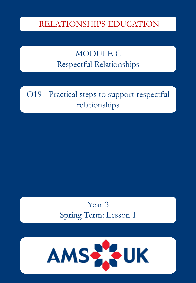### RELATIONSHIPS EDUCATION

### MODULE C Respectful Relationships

O19 - Practical steps to support respectful relationships

> Year 3 Spring Term: Lesson 1

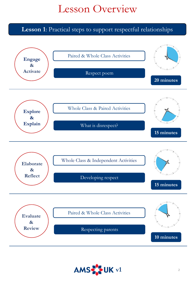# Lesson Overview

**Lesson 1**: Practical steps to support respectful relationships



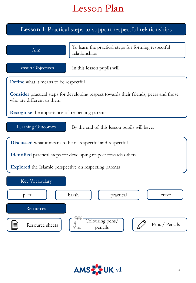### **Lesson 1**: Practical steps to support respectful relationships



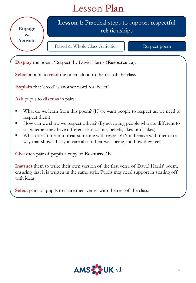**Engage & Activate** **Lesson 1**: Practical steps to support respectful relationships

Paired & Whole Class Activities Respect poem

**Display** the poem, 'Respect' by David Harris (**Resource 1a**).

**Select** a pupil to **read** the poem aloud to the rest of the class.

Explain that 'creed' is another word for 'belief'.

**Ask** pupils to **discuss** in pairs:

- What do we learn from this poem? (If we want people to respect us, we need to respect them)
- How can we show we respect others? (By accepting people who are different to us, whether they have different skin colour, beliefs, likes or dislikes)
- What does it mean to treat someone with respect? (You behave with them in a way that shows that you care about their well-being and how they feel)

**Give** each pair of pupils a copy of **Resource 1b**.

**Instruct** them to write their own version of the first verse of David Harris' poem, ensuring that it is written in the same style. Pupils may need support in starting off with ideas.

**Select** pairs of pupils to share their verses with the rest of the class.

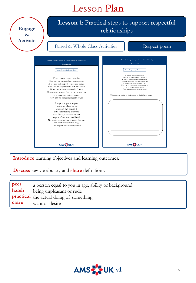**Engage & Activate**

### **Lesson 1**: Practical steps to support respectful relationships

#### Paired & Whole Class Activities Respect poem

| Lesson 1: Practical steps to support respectful relationships                                                                                                                                                                                                                                                                                | Lesson 1: Practical steps to support respectful relationships                                                                                                                                                                                                                                                                                                                             |  |  |
|----------------------------------------------------------------------------------------------------------------------------------------------------------------------------------------------------------------------------------------------------------------------------------------------------------------------------------------------|-------------------------------------------------------------------------------------------------------------------------------------------------------------------------------------------------------------------------------------------------------------------------------------------------------------------------------------------------------------------------------------------|--|--|
| Resource 1a                                                                                                                                                                                                                                                                                                                                  | <b>Resource 1b</b>                                                                                                                                                                                                                                                                                                                                                                        |  |  |
| Poem: Respect by David Harris                                                                                                                                                                                                                                                                                                                | Poem: Respect by David Harris                                                                                                                                                                                                                                                                                                                                                             |  |  |
| If we can not respect another<br>How can we expect them to respect us<br>If we can not respect someone's beliefs<br>How can we expect them to respect ours<br>If we can not respect another's race<br>How can we expect that race to respect us<br>If we can not respect others                                                              | If we can not respect another<br>How can we expect them to respect us<br>If we can not respect someone's beliefs<br>How can we expect them to respect ours<br>If we can not respect another's race<br>How can we expect that race to respect us<br>If we can not respect others<br>How can we expect respect in return<br>Write your own version of the first verse of David Harris' poem |  |  |
| How can we expect respect in return<br>Everyone expects respect<br>No matter who they are<br>The only way to gain it<br>Is to start treating everyone<br>As a friend, a brother, a sister<br>As part of our extended family<br>No matter what colour or creed they are<br>Only then you will start to get<br>The respect you so dearly crave |                                                                                                                                                                                                                                                                                                                                                                                           |  |  |
| AMS OUK v1                                                                                                                                                                                                                                                                                                                                   | AMS OUK vi                                                                                                                                                                                                                                                                                                                                                                                |  |  |

**Introduce** learning objectives and learning outcomes.

**Discuss** key vocabulary and **share** definitions.

| peer  | a person equal to you in age, ability or background       |
|-------|-----------------------------------------------------------|
| harsh | being unpleasant or rude                                  |
| crave | practical the actual doing of something<br>want or desire |

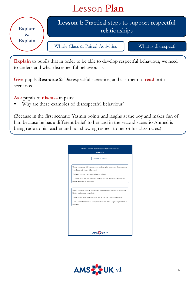

**Explain** to pupils that in order to be able to develop respectful behaviour, we need to understand what disrespectful behaviour is.

**Give** pupils **Resource 2**: Disrespectful scenarios, and ask them to **read** both scenarios.

**Ask** pupils to **discuss** in pairs:

■ Why are these examples of disrespectful behaviour?

(Because in the first scenario Yasmin points and laughs at the boy and makes fun of him because he has a different belief to her and in the second scenario Ahmed is being rude to his teacher and not showing respect to her or his classmates.)

| Resource 2<br>Disrespectful scenarios<br>Yasmin is shopping with her mum at the local shopping centre when she recognises a<br>boy who recently started at her school.<br>The boy is Sikh and is wearing a turban on his head.<br>As Yasmin walks past, she points and laughs at him and says loudly, "Why are you<br>wearing that thing on your head?"<br>Ahmed is bored in class. As the teacher is explaining prime numbers for what seems<br>like the tenth time, he yawns loudly.<br>A group of his fellow pupils say to the teacher that they still don't understand.<br>Ahmed is now frustrated and bored, so he decides to make a paper aeroplane with his<br>worksheet. | Lesson 1: Practical steps to support respectful relationships |
|----------------------------------------------------------------------------------------------------------------------------------------------------------------------------------------------------------------------------------------------------------------------------------------------------------------------------------------------------------------------------------------------------------------------------------------------------------------------------------------------------------------------------------------------------------------------------------------------------------------------------------------------------------------------------------|---------------------------------------------------------------|
|                                                                                                                                                                                                                                                                                                                                                                                                                                                                                                                                                                                                                                                                                  |                                                               |
|                                                                                                                                                                                                                                                                                                                                                                                                                                                                                                                                                                                                                                                                                  |                                                               |
|                                                                                                                                                                                                                                                                                                                                                                                                                                                                                                                                                                                                                                                                                  |                                                               |
|                                                                                                                                                                                                                                                                                                                                                                                                                                                                                                                                                                                                                                                                                  |                                                               |
|                                                                                                                                                                                                                                                                                                                                                                                                                                                                                                                                                                                                                                                                                  |                                                               |
|                                                                                                                                                                                                                                                                                                                                                                                                                                                                                                                                                                                                                                                                                  |                                                               |
|                                                                                                                                                                                                                                                                                                                                                                                                                                                                                                                                                                                                                                                                                  |                                                               |
|                                                                                                                                                                                                                                                                                                                                                                                                                                                                                                                                                                                                                                                                                  |                                                               |
|                                                                                                                                                                                                                                                                                                                                                                                                                                                                                                                                                                                                                                                                                  | AMS OUK v1                                                    |

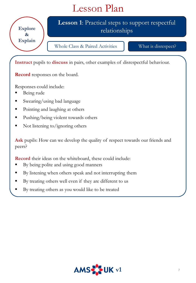**Explore & Explain**

### **Lesson 1**: Practical steps to support respectful relationships

Whole Class & Paired Activities What is disrespect?

**Instruct** pupils to **discuss** in pairs, other examples of disrespectful behaviour.

**Record** responses on the board.

Responses could include:

- Being rude
- Swearing/using bad language
- Pointing and laughing at others
- Pushing/being violent towards others
- Not listening to/ignoring others

**Ask** pupils: How can we develop the quality of respect towards our friends and peers?

**Record** their ideas on the whiteboard, these could include:

- By being polite and using good manners
- By listening when others speak and not interrupting them
- By treating others well even if they are different to us
- By treating others as you would like to be treated

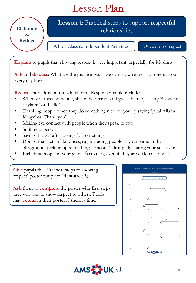**Elaborate & Reflect**

### **Lesson 1**: Practical steps to support respectful relationships

Whole Class & Independent Activities Developing respect

**Explain** to pupils that showing respect is very important, especially for Muslims.

**Ask** and **discuss**: What are the practical ways we can show respect to others in our every day life?

**Record** their ideas on the whiteboard. Responses could include:

- When you meet someone, shake their hand, and greet them by saying 'As salamu alaykum' or 'Hello'
- Thanking people when they do something nice for you by saying 'JazakAllahu Khayr' or 'Thank you'
- Making eye contact with people when they speak to you
- Smiling at people
- Saying 'Please' after asking for something
- Doing small acts of kindness, e.g. including people in your game in the playground; picking up something someone's dropped; sharing your snack etc.
- Including people in your games/activities, even if they are different to you

**Give** pupils the, 'Practical steps to showing respect' poster template (**Resource 3**).

**Ask** them to **complete** the poster with **five** steps they will take to show respect to others. Pupils may **colour** in their poster if there is time.



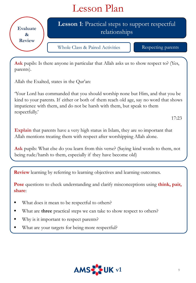

**Ask** pupils: Is there anyone in particular that Allah asks us to show respect to? (Yes, parents).

Allah the Exalted, states in the Qur'an:

'Your Lord has commanded that you should worship none but Him, and that you be kind to your parents. If either or both of them reach old age, say no word that shows impatience with them, and do not be harsh with them, but speak to them respectfully.'

17:23

**Explain** that parents have a very high status in Islam, they are so important that Allah mentions treating them with respect after worshipping Allah alone.

**Ask** pupils: What else do you learn from this verse? (Saying kind words to them, not being rude/harsh to them, especially if they have become old)

**Review** learning by referring to learning objectives and learning outcomes.

**Pose** questions to check understanding and clarify misconceptions using **think, pair, share**:

- What does it mean to be respectful to others?
- What are **three** practical steps we can take to show respect to others?
- Why is it important to respect parents?
- What are your targets for being more respectful?

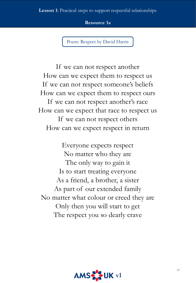**Resource 1a**

Poem: Respect by David Harris

If we can not respect another How can we expect them to respect us If we can not respect someone's beliefs How can we expect them to respect ours If we can not respect another's race How can we expect that race to respect us If we can not respect others How can we expect respect in return

Everyone expects respect No matter who they are The only way to gain it Is to start treating everyone As a friend, a brother, a sister As part of our extended family No matter what colour or creed they are Only then you will start to get The respect you so dearly crave

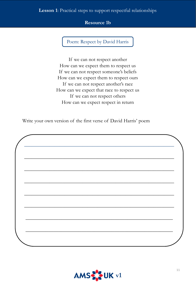#### **Lesson 1**: Practical steps to support respectful relationships

#### **Resource 1b**

Poem: Respect by David Harris

If we can not respect another How can we expect them to respect us If we can not respect someone's beliefs How can we expect them to respect ours If we can not respect another's race How can we expect that race to respect us If we can not respect others How can we expect respect in return

Write your own version of the first verse of David Harris' poem

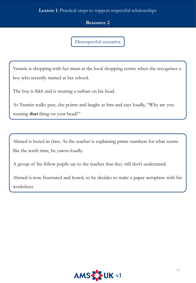#### **Lesson 1**: Practical steps to support respectful relationships

#### **Resource 2**

Disrespectful scenarios

Yasmin is shopping with her mum at the local shopping centre when she recognises a boy who recently started at her school.

The boy is Sikh and is wearing a turban on his head.

As Yasmin walks past, she points and laughs at him and says loudly, "Why are you wearing **that** thing on your head?"

Ahmed is bored in class. As the teacher is explaining prime numbers for what seems like the tenth time, he yawns loudly.

A group of his fellow pupils say to the teacher that they still don't understand.

Ahmed is now frustrated and bored, so he decides to make a paper aeroplane with his worksheet.